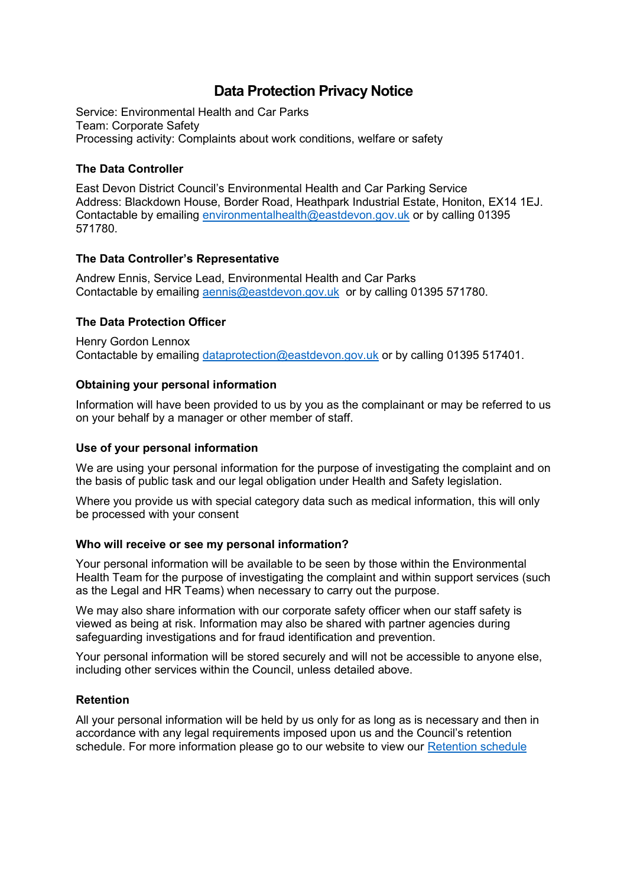# **Data Protection Privacy Notice**

Service: Environmental Health and Car Parks Team: Corporate Safety Processing activity: Complaints about work conditions, welfare or safety

# **The Data Controller**

East Devon District Council's Environmental Health and Car Parking Service Address: Blackdown House, Border Road, Heathpark Industrial Estate, Honiton, EX14 1EJ. Contactable by emailing [environmentalhealth@eastdevon.gov.uk](mailto:environmentalhealth@eastdevon.gov.uk) or by calling 01395 571780.

## **The Data Controller's Representative**

Andrew Ennis, Service Lead, Environmental Health and Car Parks Contactable by emailing [aennis@eastdevon.gov.uk](mailto:aennis@eastdevon.gov.uk) or by calling 01395 571780.

## **The Data Protection Officer**

Henry Gordon Lennox Contactable by emailing [dataprotection@eastdevon.gov.uk](mailto:dataprotection@eastdevon.gov.uk) or by calling 01395 517401.

## **Obtaining your personal information**

Information will have been provided to us by you as the complainant or may be referred to us on your behalf by a manager or other member of staff.

## **Use of your personal information**

We are using your personal information for the purpose of investigating the complaint and on the basis of public task and our legal obligation under Health and Safety legislation.

Where you provide us with special category data such as medical information, this will only be processed with your consent

## **Who will receive or see my personal information?**

Your personal information will be available to be seen by those within the Environmental Health Team for the purpose of investigating the complaint and within support services (such as the Legal and HR Teams) when necessary to carry out the purpose.

We may also share information with our corporate safety officer when our staff safety is viewed as being at risk. Information may also be shared with partner agencies during safeguarding investigations and for fraud identification and prevention.

Your personal information will be stored securely and will not be accessible to anyone else, including other services within the Council, unless detailed above.

## **Retention**

All your personal information will be held by us only for as long as is necessary and then in accordance with any legal requirements imposed upon us and the Council's retention schedule. For more information please go to our website to view our [Retention schedule](http://eastdevon.gov.uk/access-to-information/data-protection/document-retention-schedules/)